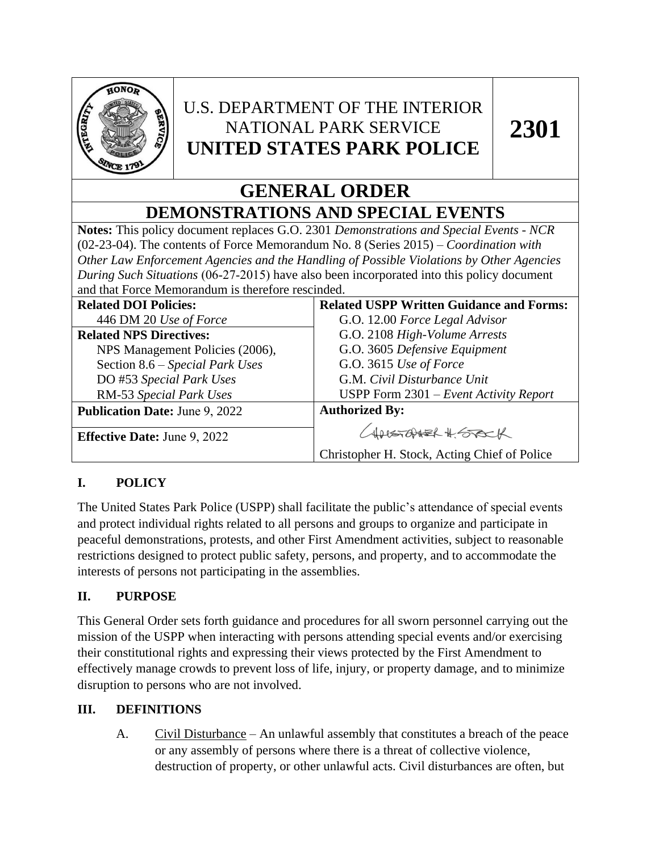

# U.S. DEPARTMENT OF THE INTERIOR NATIONAL PARK SERVICE **UNITED STATES PARK POLICE**

# **GENERAL ORDER DEMONSTRATIONS AND SPECIAL EVENTS**

**Notes:** This policy document replaces G.O. 2301 *Demonstrations and Special Events - NCR*  (02-23-04). The contents of Force Memorandum No. 8 (Series 2015) *– Coordination with Other Law Enforcement Agencies and the Handling of Possible Violations by Other Agencies During Such Situations* (06-27-2015) have also been incorporated into this policy document and that Force Memorandum is therefore rescinded.

| <b>Related DOI Policies:</b>          | <b>Related USPP Written Guidance and Forms:</b> |
|---------------------------------------|-------------------------------------------------|
| 446 DM 20 Use of Force                | G.O. 12.00 Force Legal Advisor                  |
| <b>Related NPS Directives:</b>        | G.O. 2108 High-Volume Arrests                   |
| NPS Management Policies (2006),       | G.O. 3605 Defensive Equipment                   |
| Section 8.6 - Special Park Uses       | G.O. 3615 Use of Force                          |
| DO #53 Special Park Uses              | G.M. Civil Disturbance Unit                     |
| RM-53 Special Park Uses               | USPP Form $2301$ – Event Activity Report        |
| <b>Publication Date: June 9, 2022</b> | <b>Authorized By:</b>                           |
|                                       | CHRESTOPHER # 550CK                             |
| <b>Effective Date: June 9, 2022</b>   |                                                 |
|                                       | Christopher H. Stock, Acting Chief of Police    |

## **I. POLICY**

The United States Park Police (USPP) shall facilitate the public's attendance of special events and protect individual rights related to all persons and groups to organize and participate in peaceful demonstrations, protests, and other First Amendment activities, subject to reasonable restrictions designed to protect public safety, persons, and property, and to accommodate the interests of persons not participating in the assemblies.

## **II. PURPOSE**

This General Order sets forth guidance and procedures for all sworn personnel carrying out the mission of the USPP when interacting with persons attending special events and/or exercising their constitutional rights and expressing their views protected by the First Amendment to effectively manage crowds to prevent loss of life, injury, or property damage, and to minimize disruption to persons who are not involved.

## **III. DEFINITIONS**

A. Civil Disturbance – An unlawful assembly that constitutes a breach of the peace or any assembly of persons where there is a threat of collective violence, destruction of property, or other unlawful acts. Civil disturbances are often, but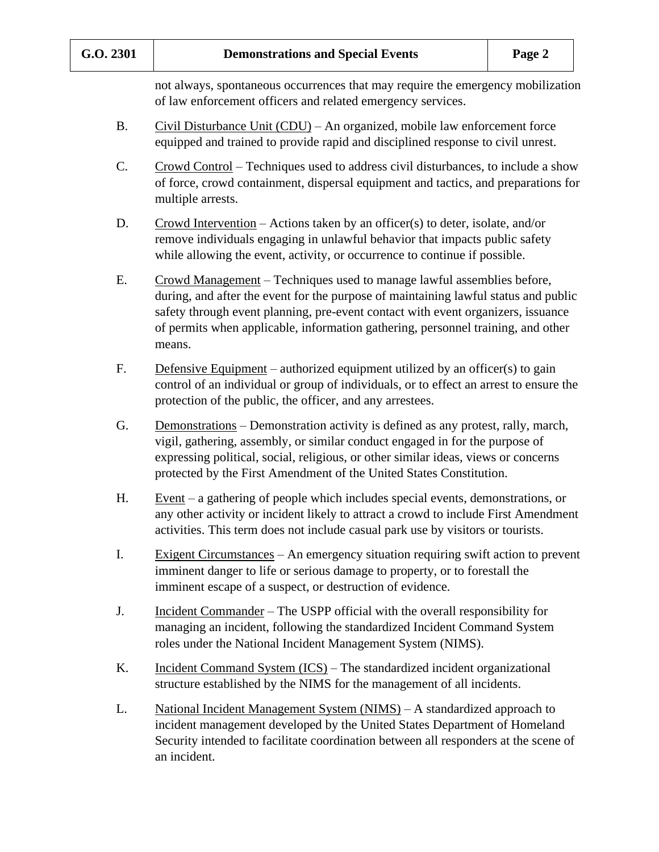not always, spontaneous occurrences that may require the emergency mobilization of law enforcement officers and related emergency services.

- B. Civil Disturbance Unit (CDU) An organized, mobile law enforcement force equipped and trained to provide rapid and disciplined response to civil unrest.
- C. Crowd Control Techniques used to address civil disturbances, to include a show of force, crowd containment, dispersal equipment and tactics, and preparations for multiple arrests.
- D. Crowd Intervention Actions taken by an officer(s) to deter, isolate, and/or remove individuals engaging in unlawful behavior that impacts public safety while allowing the event, activity, or occurrence to continue if possible.
- E. Crowd Management Techniques used to manage lawful assemblies before, during, and after the event for the purpose of maintaining lawful status and public safety through event planning, pre-event contact with event organizers, issuance of permits when applicable, information gathering, personnel training, and other means.
- F. Defensive Equipment authorized equipment utilized by an officer(s) to gain control of an individual or group of individuals, or to effect an arrest to ensure the protection of the public, the officer, and any arrestees.
- G. Demonstrations Demonstration activity is defined as any protest, rally, march, vigil, gathering, assembly, or similar conduct engaged in for the purpose of expressing political, social, religious, or other similar ideas, views or concerns protected by the First Amendment of the United States Constitution.
- H. Event a gathering of people which includes special events, demonstrations, or any other activity or incident likely to attract a crowd to include First Amendment activities. This term does not include casual park use by visitors or tourists.
- I. Exigent Circumstances An emergency situation requiring swift action to prevent imminent danger to life or serious damage to property, or to forestall the imminent escape of a suspect, or destruction of evidence.
- J. Incident Commander The USPP official with the overall responsibility for managing an incident, following the standardized Incident Command System roles under the National Incident Management System (NIMS).
- K. Incident Command System (ICS) The standardized incident organizational structure established by the NIMS for the management of all incidents.
- L. National Incident Management System (NIMS) A standardized approach to incident management developed by the United States Department of Homeland Security intended to facilitate coordination between all responders at the scene of an incident.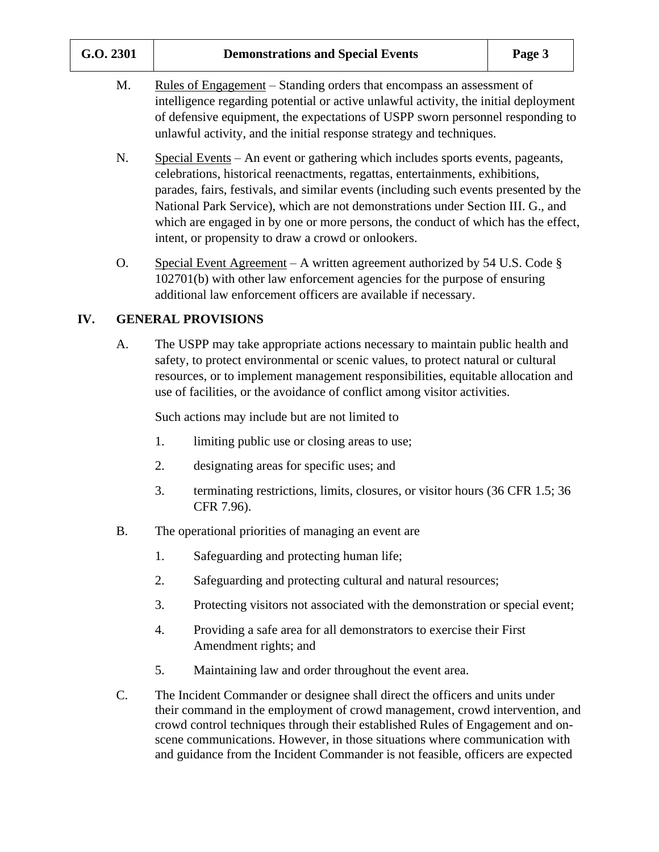| G.O. 2301 |  |    | Page 3                                                                                                                                                                                                                                                                                                                                                                                                                                                                                  |  |
|-----------|--|----|-----------------------------------------------------------------------------------------------------------------------------------------------------------------------------------------------------------------------------------------------------------------------------------------------------------------------------------------------------------------------------------------------------------------------------------------------------------------------------------------|--|
| M.        |  |    | <u>Rules of Engagement</u> – Standing orders that encompass an assessment of<br>intelligence regarding potential or active unlawful activity, the initial deployment<br>of defensive equipment, the expectations of USPP sworn personnel responding to<br>unlawful activity, and the initial response strategy and techniques.                                                                                                                                                          |  |
| N.        |  |    | Special Events – An event or gathering which includes sports events, pageants,<br>celebrations, historical reenactments, regattas, entertainments, exhibitions,<br>parades, fairs, festivals, and similar events (including such events presented by the<br>National Park Service), which are not demonstrations under Section III. G., and<br>which are engaged in by one or more persons, the conduct of which has the effect,<br>intent, or propensity to draw a crowd or onlookers. |  |
| O.        |  |    | Special Event Agreement – A written agreement authorized by 54 U.S. Code $\S$<br>102701(b) with other law enforcement agencies for the purpose of ensuring<br>additional law enforcement officers are available if necessary.                                                                                                                                                                                                                                                           |  |
| IV.       |  |    | <b>GENERAL PROVISIONS</b>                                                                                                                                                                                                                                                                                                                                                                                                                                                               |  |
| A.        |  |    | The USPP may take appropriate actions necessary to maintain public health and<br>safety, to protect environmental or scenic values, to protect natural or cultural<br>resources, or to implement management responsibilities, equitable allocation and<br>use of facilities, or the avoidance of conflict among visitor activities.                                                                                                                                                     |  |
|           |  |    | Such actions may include but are not limited to                                                                                                                                                                                                                                                                                                                                                                                                                                         |  |
|           |  | 1. | limiting public use or closing areas to use;                                                                                                                                                                                                                                                                                                                                                                                                                                            |  |
|           |  | 2. | designating areas for specific uses; and                                                                                                                                                                                                                                                                                                                                                                                                                                                |  |
|           |  | 3. | terminating restrictions, limits, closures, or visitor hours (36 CFR 1.5; 36<br>CFR 7.96).                                                                                                                                                                                                                                                                                                                                                                                              |  |
| <b>B.</b> |  |    | The operational priorities of managing an event are                                                                                                                                                                                                                                                                                                                                                                                                                                     |  |
|           |  | 1. | Safeguarding and protecting human life;                                                                                                                                                                                                                                                                                                                                                                                                                                                 |  |
|           |  | 2. | Safeguarding and protecting cultural and natural resources;                                                                                                                                                                                                                                                                                                                                                                                                                             |  |
|           |  | 3. | Protecting visitors not associated with the demonstration or special event;                                                                                                                                                                                                                                                                                                                                                                                                             |  |
|           |  | 4. | Providing a safe area for all demonstrators to exercise their First<br>Amendment rights; and                                                                                                                                                                                                                                                                                                                                                                                            |  |
|           |  | 5. | Maintaining law and order throughout the event area.                                                                                                                                                                                                                                                                                                                                                                                                                                    |  |
| C.        |  |    | The Incident Commander or designee shall direct the officers and units under<br>their command in the employment of crowd management, crowd intervention, and<br>crowd control techniques through their established Rules of Engagement and on-<br>scene communications. However, in those situations where communication with                                                                                                                                                           |  |

and guidance from the Incident Commander is not feasible, officers are expected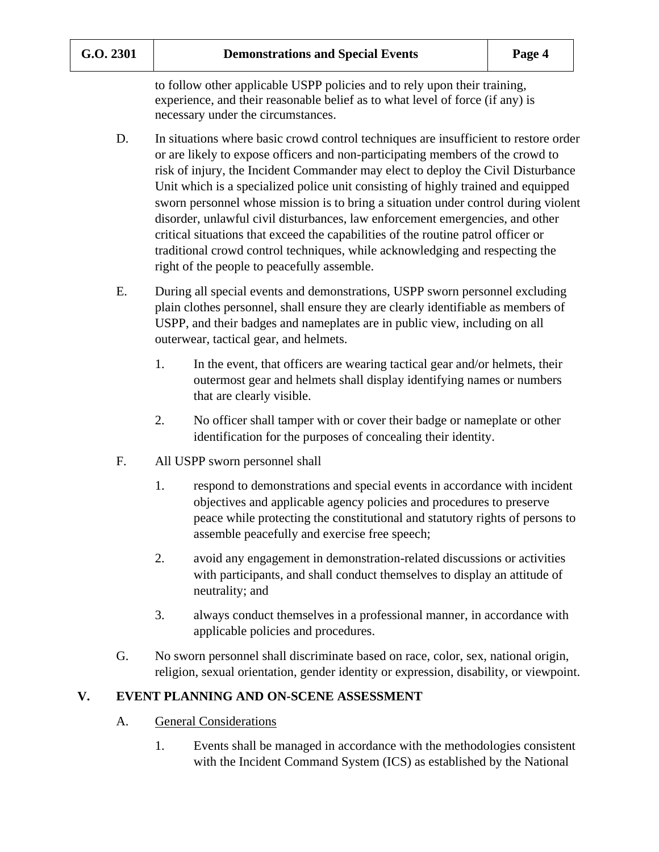to follow other applicable USPP policies and to rely upon their training, experience, and their reasonable belief as to what level of force (if any) is necessary under the circumstances.

- D. In situations where basic crowd control techniques are insufficient to restore order or are likely to expose officers and non-participating members of the crowd to risk of injury, the Incident Commander may elect to deploy the Civil Disturbance Unit which is a specialized police unit consisting of highly trained and equipped sworn personnel whose mission is to bring a situation under control during violent disorder, unlawful civil disturbances, law enforcement emergencies, and other critical situations that exceed the capabilities of the routine patrol officer or traditional crowd control techniques, while acknowledging and respecting the right of the people to peacefully assemble.
- E. During all special events and demonstrations, USPP sworn personnel excluding plain clothes personnel, shall ensure they are clearly identifiable as members of USPP, and their badges and nameplates are in public view, including on all outerwear, tactical gear, and helmets.
	- 1. In the event, that officers are wearing tactical gear and/or helmets, their outermost gear and helmets shall display identifying names or numbers that are clearly visible.
	- 2. No officer shall tamper with or cover their badge or nameplate or other identification for the purposes of concealing their identity.
- F. All USPP sworn personnel shall
	- 1. respond to demonstrations and special events in accordance with incident objectives and applicable agency policies and procedures to preserve peace while protecting the constitutional and statutory rights of persons to assemble peacefully and exercise free speech;
	- 2. avoid any engagement in demonstration-related discussions or activities with participants, and shall conduct themselves to display an attitude of neutrality; and
	- 3. always conduct themselves in a professional manner, in accordance with applicable policies and procedures.
- G. No sworn personnel shall discriminate based on race, color, sex, national origin, religion, sexual orientation, gender identity or expression, disability, or viewpoint.

#### **V. EVENT PLANNING AND ON-SCENE ASSESSMENT**

- A. General Considerations
	- 1. Events shall be managed in accordance with the methodologies consistent with the Incident Command System (ICS) as established by the National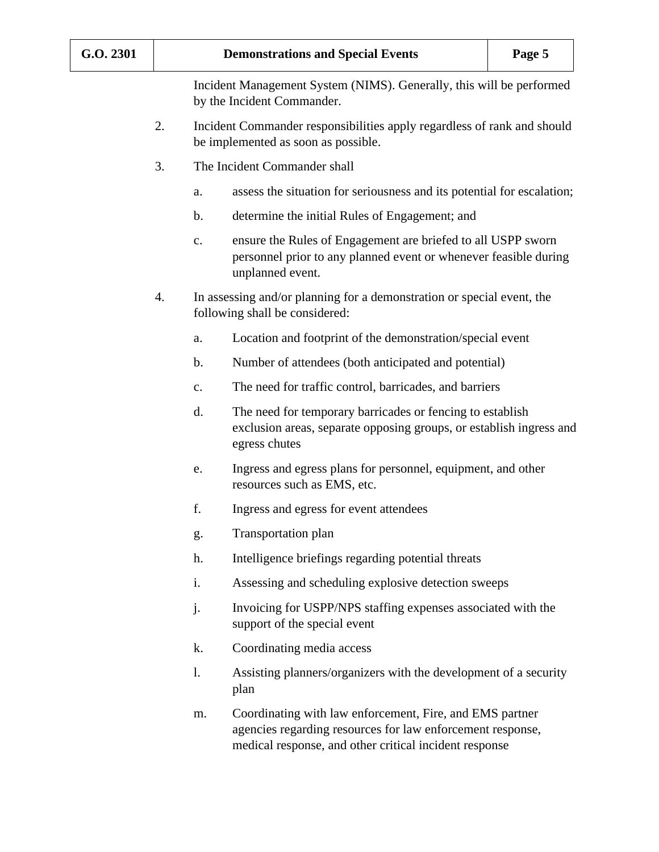Incident Management System (NIMS). Generally, this will be performed by the Incident Commander.

- 2. Incident Commander responsibilities apply regardless of rank and should be implemented as soon as possible.
- 3. The Incident Commander shall
	- a. assess the situation for seriousness and its potential for escalation;
	- b. determine the initial Rules of Engagement; and
	- c. ensure the Rules of Engagement are briefed to all USPP sworn personnel prior to any planned event or whenever feasible during unplanned event.
- 4. In assessing and/or planning for a demonstration or special event, the following shall be considered:
	- a. Location and footprint of the demonstration/special event
	- b. Number of attendees (both anticipated and potential)
	- c. The need for traffic control, barricades, and barriers
	- d. The need for temporary barricades or fencing to establish exclusion areas, separate opposing groups, or establish ingress and egress chutes
	- e. Ingress and egress plans for personnel, equipment, and other resources such as EMS, etc.
	- f. Ingress and egress for event attendees
	- g. Transportation plan
	- h. Intelligence briefings regarding potential threats
	- i. Assessing and scheduling explosive detection sweeps
	- j. Invoicing for USPP/NPS staffing expenses associated with the support of the special event
	- k. Coordinating media access
	- l. Assisting planners/organizers with the development of a security plan
	- m. Coordinating with law enforcement, Fire, and EMS partner agencies regarding resources for law enforcement response, medical response, and other critical incident response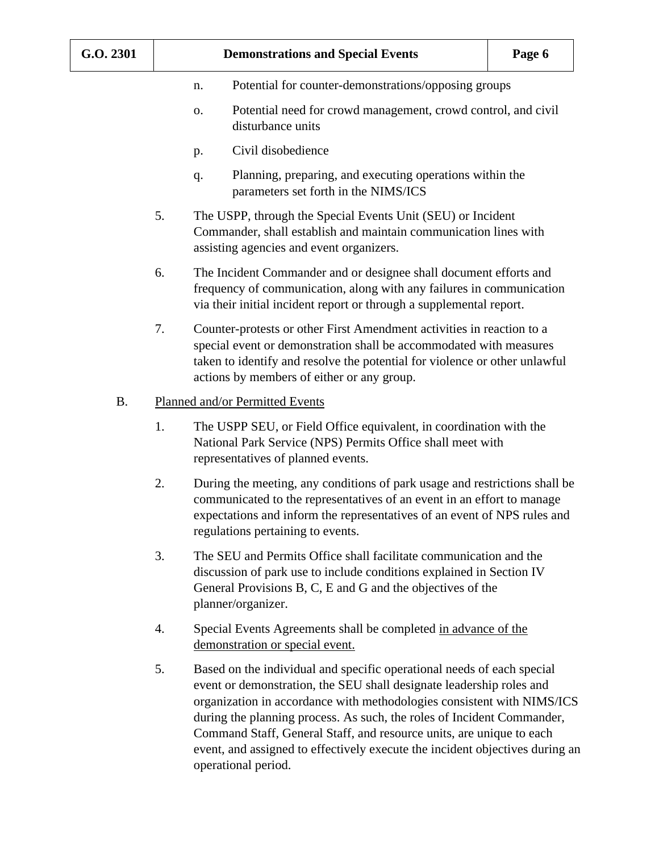- n. Potential for counter-demonstrations/opposing groups
- o. Potential need for crowd management, crowd control, and civil disturbance units
- p. Civil disobedience
- q. Planning, preparing, and executing operations within the parameters set forth in the NIMS/ICS
- 5. The USPP, through the Special Events Unit (SEU) or Incident Commander, shall establish and maintain communication lines with assisting agencies and event organizers.
- 6. The Incident Commander and or designee shall document efforts and frequency of communication, along with any failures in communication via their initial incident report or through a supplemental report.
- 7. Counter-protests or other First Amendment activities in reaction to a special event or demonstration shall be accommodated with measures taken to identify and resolve the potential for violence or other unlawful actions by members of either or any group.

#### B. Planned and/or Permitted Events

- 1. The USPP SEU, or Field Office equivalent, in coordination with the National Park Service (NPS) Permits Office shall meet with representatives of planned events.
- 2. During the meeting, any conditions of park usage and restrictions shall be communicated to the representatives of an event in an effort to manage expectations and inform the representatives of an event of NPS rules and regulations pertaining to events.
- 3. The SEU and Permits Office shall facilitate communication and the discussion of park use to include conditions explained in Section IV General Provisions B, C, E and G and the objectives of the planner/organizer.
- 4. Special Events Agreements shall be completed in advance of the demonstration or special event.
- 5. Based on the individual and specific operational needs of each special event or demonstration, the SEU shall designate leadership roles and organization in accordance with methodologies consistent with NIMS/ICS during the planning process. As such, the roles of Incident Commander, Command Staff, General Staff, and resource units, are unique to each event, and assigned to effectively execute the incident objectives during an operational period.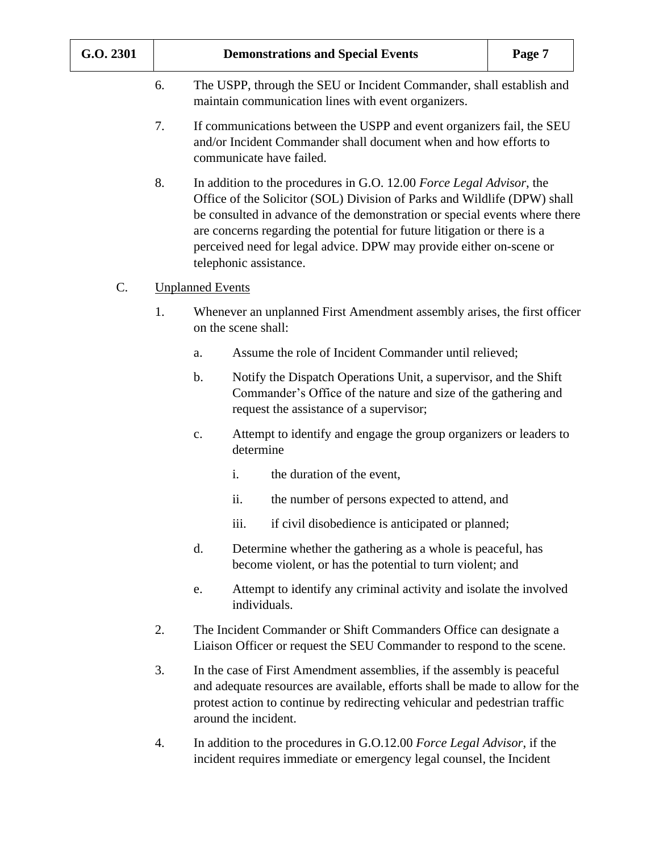| G.O. 2301 |    |                                                                                                                             |                     | <b>Demonstrations and Special Events</b>                                                                                                                                                                                                                                                                                                                                                                    | Page 7 |  |
|-----------|----|-----------------------------------------------------------------------------------------------------------------------------|---------------------|-------------------------------------------------------------------------------------------------------------------------------------------------------------------------------------------------------------------------------------------------------------------------------------------------------------------------------------------------------------------------------------------------------------|--------|--|
|           | 6. | The USPP, through the SEU or Incident Commander, shall establish and<br>maintain communication lines with event organizers. |                     |                                                                                                                                                                                                                                                                                                                                                                                                             |        |  |
|           | 7. |                                                                                                                             |                     | If communications between the USPP and event organizers fail, the SEU<br>and/or Incident Commander shall document when and how efforts to<br>communicate have failed.                                                                                                                                                                                                                                       |        |  |
|           | 8. |                                                                                                                             |                     | In addition to the procedures in G.O. 12.00 Force Legal Advisor, the<br>Office of the Solicitor (SOL) Division of Parks and Wildlife (DPW) shall<br>be consulted in advance of the demonstration or special events where there<br>are concerns regarding the potential for future litigation or there is a<br>perceived need for legal advice. DPW may provide either on-scene or<br>telephonic assistance. |        |  |
| C.        |    | <b>Unplanned Events</b>                                                                                                     |                     |                                                                                                                                                                                                                                                                                                                                                                                                             |        |  |
|           | 1. |                                                                                                                             | on the scene shall: | Whenever an unplanned First Amendment assembly arises, the first officer                                                                                                                                                                                                                                                                                                                                    |        |  |
|           |    | a.                                                                                                                          |                     | Assume the role of Incident Commander until relieved;                                                                                                                                                                                                                                                                                                                                                       |        |  |
|           |    | $\mathbf b$ .                                                                                                               |                     | Notify the Dispatch Operations Unit, a supervisor, and the Shift<br>Commander's Office of the nature and size of the gathering and<br>request the assistance of a supervisor;                                                                                                                                                                                                                               |        |  |
|           |    | c.                                                                                                                          | determine           | Attempt to identify and engage the group organizers or leaders to                                                                                                                                                                                                                                                                                                                                           |        |  |
|           |    |                                                                                                                             | i.                  | the duration of the event,                                                                                                                                                                                                                                                                                                                                                                                  |        |  |
|           |    |                                                                                                                             | ii.                 | the number of persons expected to attend, and                                                                                                                                                                                                                                                                                                                                                               |        |  |
|           |    |                                                                                                                             | <i>iii.</i>         | if civil disobedience is anticipated or planned;                                                                                                                                                                                                                                                                                                                                                            |        |  |
|           |    | d.                                                                                                                          |                     | Determine whether the gathering as a whole is peaceful, has<br>become violent, or has the potential to turn violent; and                                                                                                                                                                                                                                                                                    |        |  |
|           |    | e.                                                                                                                          |                     | Attempt to identify any criminal activity and isolate the involved<br>individuals.                                                                                                                                                                                                                                                                                                                          |        |  |
|           | 2. |                                                                                                                             |                     | The Incident Commander or Shift Commanders Office can designate a<br>Liaison Officer or request the SEU Commander to respond to the scene.                                                                                                                                                                                                                                                                  |        |  |
|           | 3. |                                                                                                                             |                     | In the case of First Amendment assemblies, if the assembly is peaceful<br>and adequate resources are available, efforts shall be made to allow for the<br>protest action to continue by redirecting vehicular and pedestrian traffic<br>around the incident.                                                                                                                                                |        |  |
|           | 4. |                                                                                                                             |                     | In addition to the procedures in G.O.12.00 Force Legal Advisor, if the<br>incident requires immediate or emergency legal counsel, the Incident                                                                                                                                                                                                                                                              |        |  |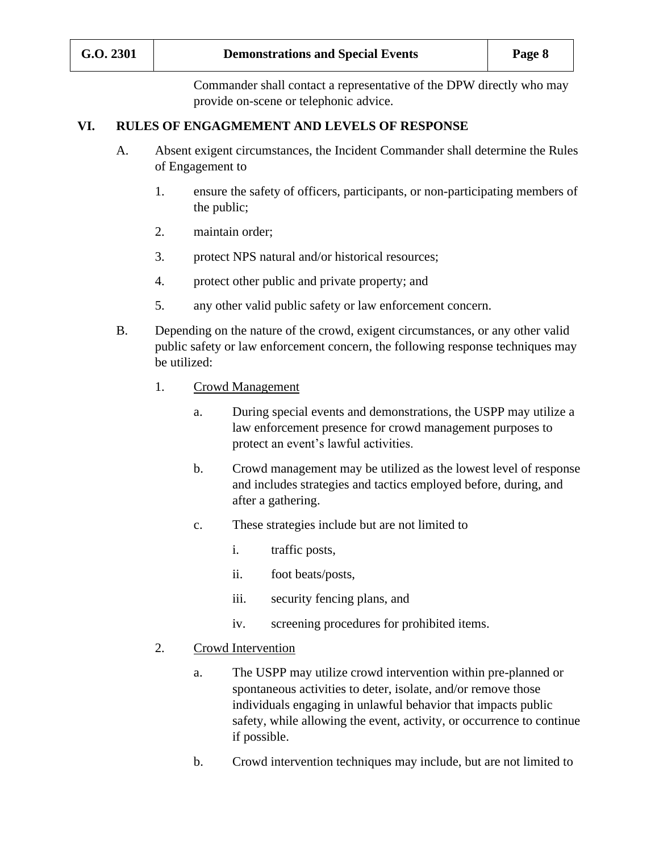Commander shall contact a representative of the DPW directly who may provide on-scene or telephonic advice.

#### **VI. RULES OF ENGAGMEMENT AND LEVELS OF RESPONSE**

- A. Absent exigent circumstances, the Incident Commander shall determine the Rules of Engagement to
	- 1. ensure the safety of officers, participants, or non-participating members of the public;
	- 2. maintain order;
	- 3. protect NPS natural and/or historical resources;
	- 4. protect other public and private property; and
	- 5. any other valid public safety or law enforcement concern.
- B. Depending on the nature of the crowd, exigent circumstances, or any other valid public safety or law enforcement concern, the following response techniques may be utilized:
	- 1. Crowd Management
		- a. During special events and demonstrations, the USPP may utilize a law enforcement presence for crowd management purposes to protect an event's lawful activities.
		- b. Crowd management may be utilized as the lowest level of response and includes strategies and tactics employed before, during, and after a gathering.
		- c. These strategies include but are not limited to
			- i. traffic posts,
			- ii. foot beats/posts,
			- iii. security fencing plans, and
			- iv. screening procedures for prohibited items.
	- 2. Crowd Intervention
		- a. The USPP may utilize crowd intervention within pre-planned or spontaneous activities to deter, isolate, and/or remove those individuals engaging in unlawful behavior that impacts public safety, while allowing the event, activity, or occurrence to continue if possible.
		- b. Crowd intervention techniques may include, but are not limited to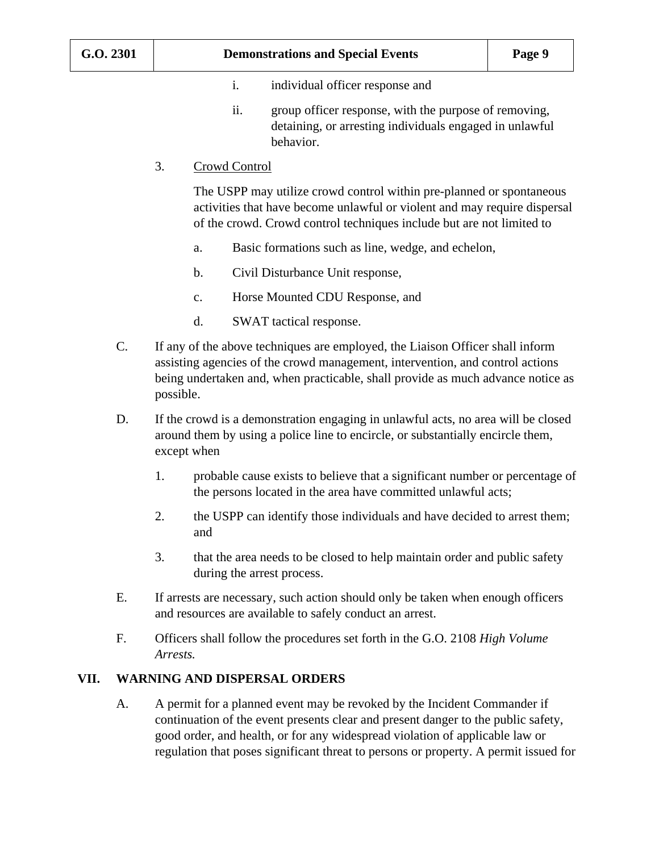- i. individual officer response and
- ii. group officer response, with the purpose of removing, detaining, or arresting individuals engaged in unlawful behavior.
- 3. Crowd Control

The USPP may utilize crowd control within pre-planned or spontaneous activities that have become unlawful or violent and may require dispersal of the crowd. Crowd control techniques include but are not limited to

- a. Basic formations such as line, wedge, and echelon,
- b. Civil Disturbance Unit response,
- c. Horse Mounted CDU Response, and
- d. SWAT tactical response.
- C. If any of the above techniques are employed, the Liaison Officer shall inform assisting agencies of the crowd management, intervention, and control actions being undertaken and, when practicable, shall provide as much advance notice as possible.
- D. If the crowd is a demonstration engaging in unlawful acts, no area will be closed around them by using a police line to encircle, or substantially encircle them, except when
	- 1. probable cause exists to believe that a significant number or percentage of the persons located in the area have committed unlawful acts;
	- 2. the USPP can identify those individuals and have decided to arrest them; and
	- 3. that the area needs to be closed to help maintain order and public safety during the arrest process.
- E. If arrests are necessary, such action should only be taken when enough officers and resources are available to safely conduct an arrest.
- F. Officers shall follow the procedures set forth in the G.O. 2108 *High Volume Arrests.*

#### **VII. WARNING AND DISPERSAL ORDERS**

A. A permit for a planned event may be revoked by the Incident Commander if continuation of the event presents clear and present danger to the public safety, good order, and health, or for any widespread violation of applicable law or regulation that poses significant threat to persons or property. A permit issued for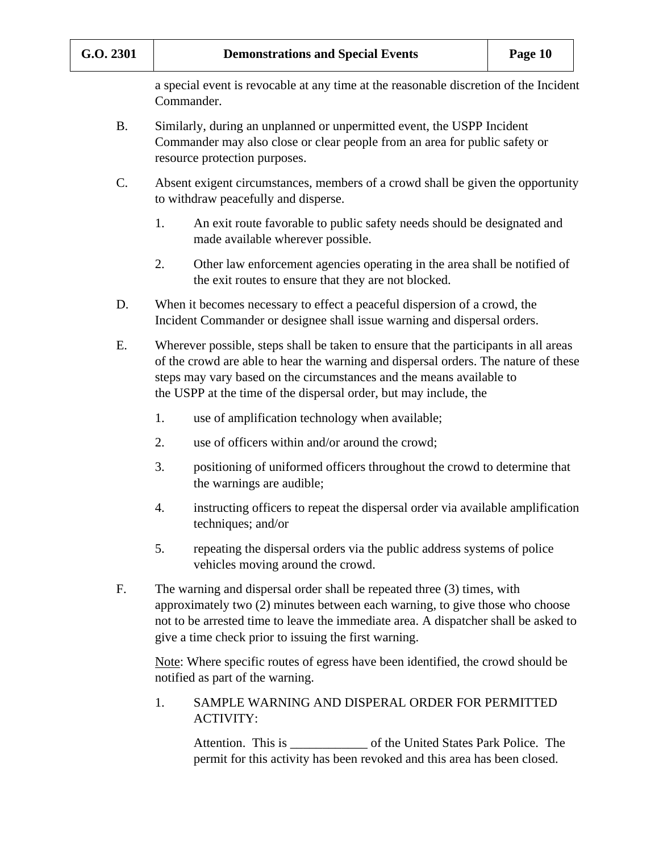a special event is revocable at any time at the reasonable discretion of the Incident Commander.

- B. Similarly, during an unplanned or unpermitted event, the USPP Incident Commander may also close or clear people from an area for public safety or resource protection purposes.
- C. Absent exigent circumstances, members of a crowd shall be given the opportunity to withdraw peacefully and disperse.
	- 1. An exit route favorable to public safety needs should be designated and made available wherever possible.
	- 2. Other law enforcement agencies operating in the area shall be notified of the exit routes to ensure that they are not blocked.
- D. When it becomes necessary to effect a peaceful dispersion of a crowd, the Incident Commander or designee shall issue warning and dispersal orders.
- E. Wherever possible, steps shall be taken to ensure that the participants in all areas of the crowd are able to hear the warning and dispersal orders. The nature of these steps may vary based on the circumstances and the means available to the USPP at the time of the dispersal order, but may include, the
	- 1. use of amplification technology when available;
	- 2. use of officers within and/or around the crowd;
	- 3. positioning of uniformed officers throughout the crowd to determine that the warnings are audible;
	- 4. instructing officers to repeat the dispersal order via available amplification techniques; and/or
	- 5. repeating the dispersal orders via the public address systems of police vehicles moving around the crowd.
- F. The warning and dispersal order shall be repeated three (3) times, with approximately two (2) minutes between each warning, to give those who choose not to be arrested time to leave the immediate area. A dispatcher shall be asked to give a time check prior to issuing the first warning.

Note: Where specific routes of egress have been identified, the crowd should be notified as part of the warning.

1. SAMPLE WARNING AND DISPERAL ORDER FOR PERMITTED ACTIVITY:

Attention. This is of the United States Park Police. The permit for this activity has been revoked and this area has been closed.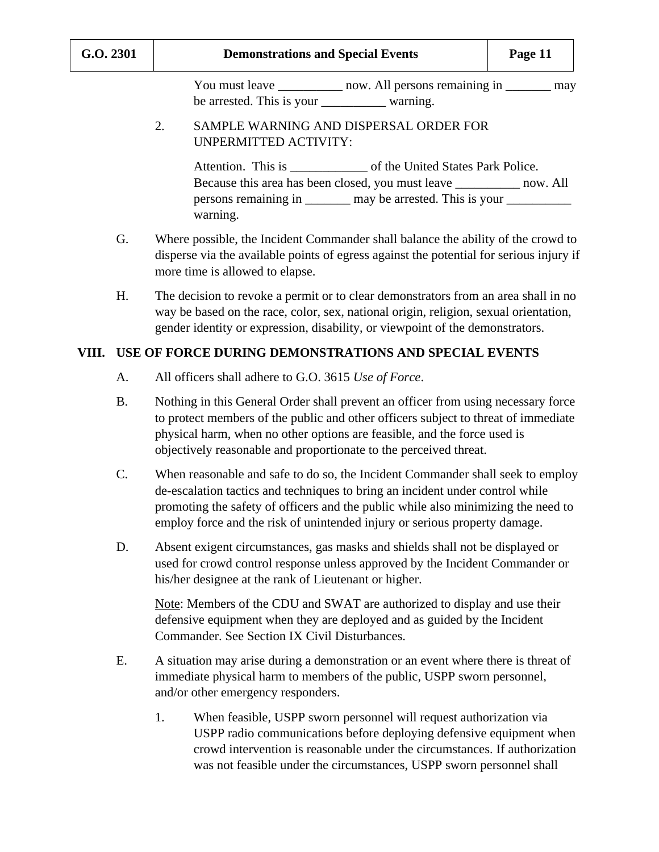You must leave \_\_\_\_\_\_\_\_\_\_\_\_ now. All persons remaining in \_\_\_\_\_\_\_\_ may be arrested. This is your warning.

#### 2. SAMPLE WARNING AND DISPERSAL ORDER FOR UNPERMITTED ACTIVITY:

Attention. This is \_\_\_\_\_\_\_\_\_\_\_\_\_\_ of the United States Park Police. Because this area has been closed, you must leave \_\_\_\_\_\_\_\_\_\_ now. All persons remaining in \_\_\_\_\_\_\_ may be arrested. This is your \_\_\_\_\_\_\_\_\_\_\_\_\_\_\_\_\_\_\_\_\_ warning.

- G. Where possible, the Incident Commander shall balance the ability of the crowd to disperse via the available points of egress against the potential for serious injury if more time is allowed to elapse.
- H. The decision to revoke a permit or to clear demonstrators from an area shall in no way be based on the race, color, sex, national origin, religion, sexual orientation, gender identity or expression, disability, or viewpoint of the demonstrators.

#### **VIII. USE OF FORCE DURING DEMONSTRATIONS AND SPECIAL EVENTS**

- A. All officers shall adhere to G.O. 3615 *Use of Force*.
- B. Nothing in this General Order shall prevent an officer from using necessary force to protect members of the public and other officers subject to threat of immediate physical harm, when no other options are feasible, and the force used is objectively reasonable and proportionate to the perceived threat.
- C. When reasonable and safe to do so, the Incident Commander shall seek to employ de-escalation tactics and techniques to bring an incident under control while promoting the safety of officers and the public while also minimizing the need to employ force and the risk of unintended injury or serious property damage.
- D. Absent exigent circumstances, gas masks and shields shall not be displayed or used for crowd control response unless approved by the Incident Commander or his/her designee at the rank of Lieutenant or higher.

Note: Members of the CDU and SWAT are authorized to display and use their defensive equipment when they are deployed and as guided by the Incident Commander. See Section IX Civil Disturbances.

- E. A situation may arise during a demonstration or an event where there is threat of immediate physical harm to members of the public, USPP sworn personnel, and/or other emergency responders.
	- 1. When feasible, USPP sworn personnel will request authorization via USPP radio communications before deploying defensive equipment when crowd intervention is reasonable under the circumstances. If authorization was not feasible under the circumstances, USPP sworn personnel shall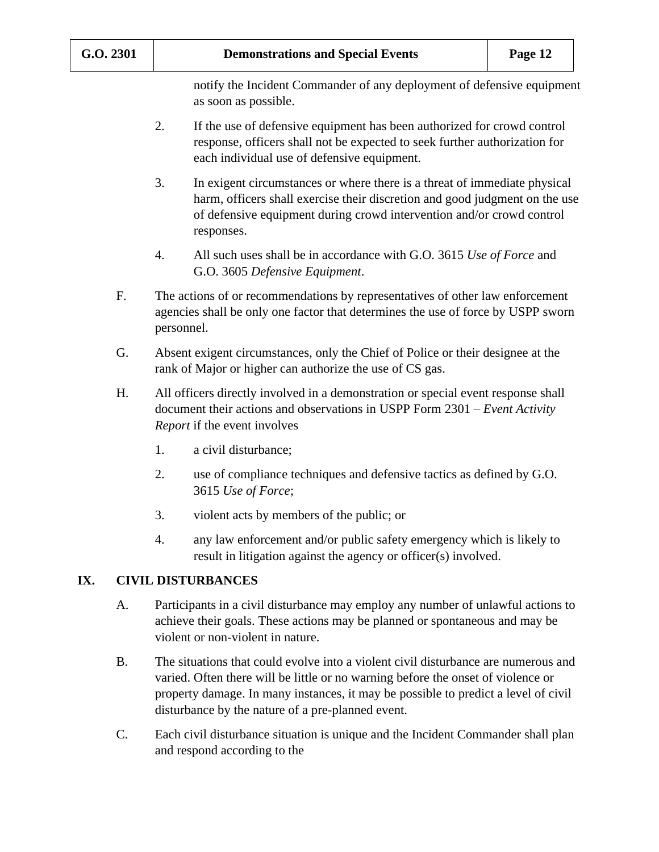notify the Incident Commander of any deployment of defensive equipment as soon as possible.

- 2. If the use of defensive equipment has been authorized for crowd control response, officers shall not be expected to seek further authorization for each individual use of defensive equipment.
- 3. In exigent circumstances or where there is a threat of immediate physical harm, officers shall exercise their discretion and good judgment on the use of defensive equipment during crowd intervention and/or crowd control responses.
- 4. All such uses shall be in accordance with G.O. 3615 *Use of Force* and G.O. 3605 *Defensive Equipment*.
- F. The actions of or recommendations by representatives of other law enforcement agencies shall be only one factor that determines the use of force by USPP sworn personnel.
- G. Absent exigent circumstances, only the Chief of Police or their designee at the rank of Major or higher can authorize the use of CS gas.
- H. All officers directly involved in a demonstration or special event response shall document their actions and observations in USPP Form 2301 – *Event Activity Report* if the event involves
	- 1. a civil disturbance;
	- 2. use of compliance techniques and defensive tactics as defined by G.O. 3615 *Use of Force*;
	- 3. violent acts by members of the public; or
	- 4. any law enforcement and/or public safety emergency which is likely to result in litigation against the agency or officer(s) involved.

### **IX. CIVIL DISTURBANCES**

- A. Participants in a civil disturbance may employ any number of unlawful actions to achieve their goals. These actions may be planned or spontaneous and may be violent or non-violent in nature.
- B. The situations that could evolve into a violent civil disturbance are numerous and varied. Often there will be little or no warning before the onset of violence or property damage. In many instances, it may be possible to predict a level of civil disturbance by the nature of a pre-planned event.
- C. Each civil disturbance situation is unique and the Incident Commander shall plan and respond according to the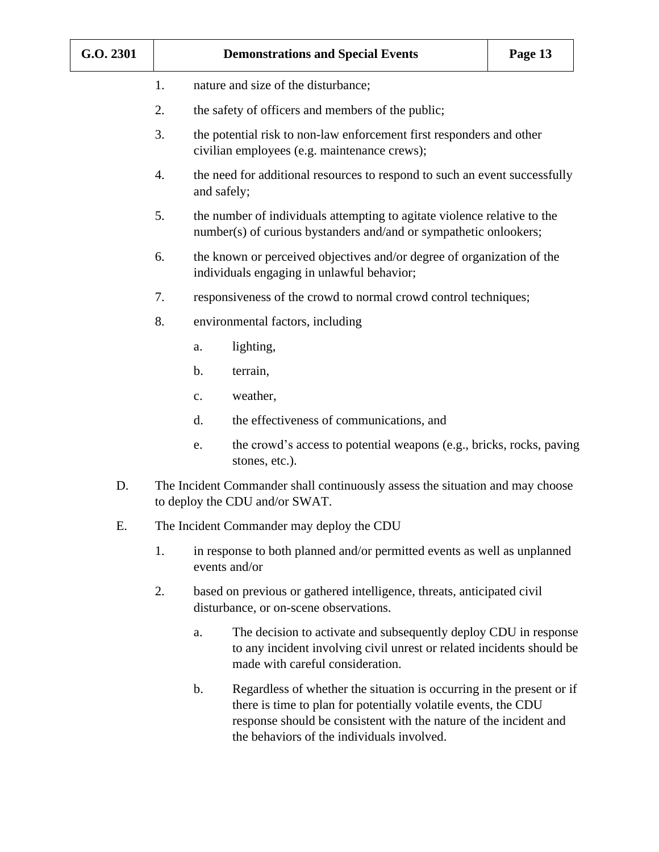| G.O. 2301 |                                                                                                                        |                                                                                                                      | <b>Demonstrations and Special Events</b>                                                                                                                                                                                                                                                                                                                                                                                              | Page 13 |  |  |
|-----------|------------------------------------------------------------------------------------------------------------------------|----------------------------------------------------------------------------------------------------------------------|---------------------------------------------------------------------------------------------------------------------------------------------------------------------------------------------------------------------------------------------------------------------------------------------------------------------------------------------------------------------------------------------------------------------------------------|---------|--|--|
|           | 1.                                                                                                                     | nature and size of the disturbance;                                                                                  |                                                                                                                                                                                                                                                                                                                                                                                                                                       |         |  |  |
|           | 2.                                                                                                                     | the safety of officers and members of the public;                                                                    |                                                                                                                                                                                                                                                                                                                                                                                                                                       |         |  |  |
|           | 3.                                                                                                                     | the potential risk to non-law enforcement first responders and other<br>civilian employees (e.g. maintenance crews); |                                                                                                                                                                                                                                                                                                                                                                                                                                       |         |  |  |
|           | 4.                                                                                                                     |                                                                                                                      | the need for additional resources to respond to such an event successfully<br>and safely;<br>the number of individuals attempting to agitate violence relative to the<br>number(s) of curious bystanders and/and or sympathetic onlookers;<br>the known or perceived objectives and/or degree of organization of the<br>individuals engaging in unlawful behavior;<br>responsiveness of the crowd to normal crowd control techniques; |         |  |  |
|           | 5.                                                                                                                     |                                                                                                                      |                                                                                                                                                                                                                                                                                                                                                                                                                                       |         |  |  |
|           | 6.                                                                                                                     |                                                                                                                      |                                                                                                                                                                                                                                                                                                                                                                                                                                       |         |  |  |
|           | 7.                                                                                                                     |                                                                                                                      |                                                                                                                                                                                                                                                                                                                                                                                                                                       |         |  |  |
|           | 8.                                                                                                                     | environmental factors, including                                                                                     |                                                                                                                                                                                                                                                                                                                                                                                                                                       |         |  |  |
|           |                                                                                                                        | a.                                                                                                                   | lighting,                                                                                                                                                                                                                                                                                                                                                                                                                             |         |  |  |
|           |                                                                                                                        | b.                                                                                                                   | terrain,                                                                                                                                                                                                                                                                                                                                                                                                                              |         |  |  |
|           |                                                                                                                        | c.                                                                                                                   | weather,                                                                                                                                                                                                                                                                                                                                                                                                                              |         |  |  |
|           |                                                                                                                        | d.                                                                                                                   | the effectiveness of communications, and                                                                                                                                                                                                                                                                                                                                                                                              |         |  |  |
|           |                                                                                                                        | e.                                                                                                                   | the crowd's access to potential weapons (e.g., bricks, rocks, paving<br>stones, etc.).                                                                                                                                                                                                                                                                                                                                                |         |  |  |
| D.        |                                                                                                                        |                                                                                                                      | The Incident Commander shall continuously assess the situation and may choose<br>to deploy the CDU and/or SWAT.                                                                                                                                                                                                                                                                                                                       |         |  |  |
| Ε.        | The Incident Commander may deploy the CDU                                                                              |                                                                                                                      |                                                                                                                                                                                                                                                                                                                                                                                                                                       |         |  |  |
|           | 1.                                                                                                                     |                                                                                                                      | in response to both planned and/or permitted events as well as unplanned<br>events and/or                                                                                                                                                                                                                                                                                                                                             |         |  |  |
|           | 2.<br>based on previous or gathered intelligence, threats, anticipated civil<br>disturbance, or on-scene observations. |                                                                                                                      |                                                                                                                                                                                                                                                                                                                                                                                                                                       |         |  |  |
|           |                                                                                                                        | a.                                                                                                                   | The decision to activate and subsequently deploy CDU in response<br>to any incident involving civil unrest or related incidents should be<br>made with careful consideration.                                                                                                                                                                                                                                                         |         |  |  |
|           |                                                                                                                        | b.                                                                                                                   | Regardless of whether the situation is occurring in the present or if<br>there is time to plan for potentially volatile events, the CDU<br>response should be consistent with the nature of the incident and                                                                                                                                                                                                                          |         |  |  |

the behaviors of the individuals involved.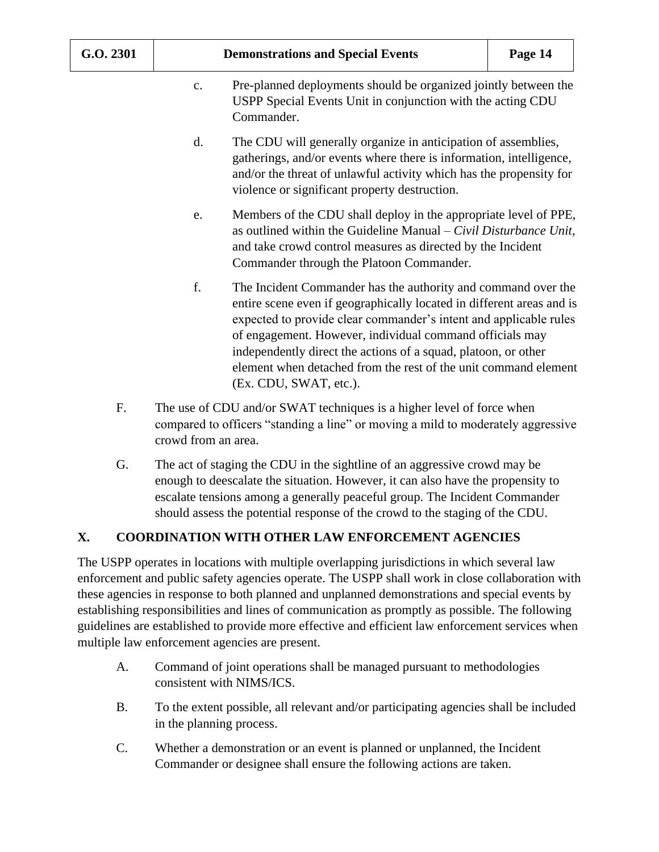- c. Pre-planned deployments should be organized jointly between the USPP Special Events Unit in conjunction with the acting CDU Commander.
- d. The CDU will generally organize in anticipation of assemblies, gatherings, and/or events where there is information, intelligence, and/or the threat of unlawful activity which has the propensity for violence or significant property destruction.
- e. Members of the CDU shall deploy in the appropriate level of PPE, as outlined within the Guideline Manual – *Civil Disturbance Unit*, and take crowd control measures as directed by the Incident Commander through the Platoon Commander.
- f. The Incident Commander has the authority and command over the entire scene even if geographically located in different areas and is expected to provide clear commander's intent and applicable rules of engagement. However, individual command officials may independently direct the actions of a squad, platoon, or other element when detached from the rest of the unit command element (Ex. CDU, SWAT, etc.).
- F. The use of CDU and/or SWAT techniques is a higher level of force when compared to officers "standing a line" or moving a mild to moderately aggressive crowd from an area.
- G. The act of staging the CDU in the sightline of an aggressive crowd may be enough to deescalate the situation. However, it can also have the propensity to escalate tensions among a generally peaceful group. The Incident Commander should assess the potential response of the crowd to the staging of the CDU.

### **X. COORDINATION WITH OTHER LAW ENFORCEMENT AGENCIES**

The USPP operates in locations with multiple overlapping jurisdictions in which several law enforcement and public safety agencies operate. The USPP shall work in close collaboration with these agencies in response to both planned and unplanned demonstrations and special events by establishing responsibilities and lines of communication as promptly as possible. The following guidelines are established to provide more effective and efficient law enforcement services when multiple law enforcement agencies are present.

- A. Command of joint operations shall be managed pursuant to methodologies consistent with NIMS/ICS.
- B. To the extent possible, all relevant and/or participating agencies shall be included in the planning process.
- C. Whether a demonstration or an event is planned or unplanned, the Incident Commander or designee shall ensure the following actions are taken.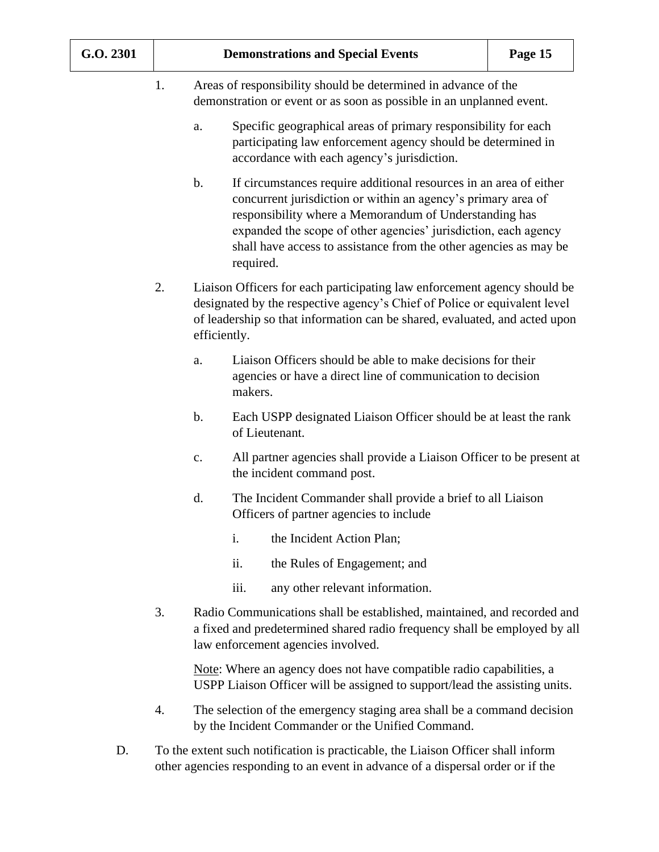1. Areas of responsibility should be determined in advance of the demonstration or event or as soon as possible in an unplanned event.

- a. Specific geographical areas of primary responsibility for each participating law enforcement agency should be determined in accordance with each agency's jurisdiction.
- b. If circumstances require additional resources in an area of either concurrent jurisdiction or within an agency's primary area of responsibility where a Memorandum of Understanding has expanded the scope of other agencies' jurisdiction, each agency shall have access to assistance from the other agencies as may be required.
- 2. Liaison Officers for each participating law enforcement agency should be designated by the respective agency's Chief of Police or equivalent level of leadership so that information can be shared, evaluated, and acted upon efficiently.
	- a. Liaison Officers should be able to make decisions for their agencies or have a direct line of communication to decision makers.
	- b. Each USPP designated Liaison Officer should be at least the rank of Lieutenant.
	- c. All partner agencies shall provide a Liaison Officer to be present at the incident command post.
	- d. The Incident Commander shall provide a brief to all Liaison Officers of partner agencies to include
		- i. the Incident Action Plan;
		- ii. the Rules of Engagement; and
		- iii. any other relevant information.
- 3. Radio Communications shall be established, maintained, and recorded and a fixed and predetermined shared radio frequency shall be employed by all law enforcement agencies involved.

Note: Where an agency does not have compatible radio capabilities, a USPP Liaison Officer will be assigned to support/lead the assisting units.

- 4. The selection of the emergency staging area shall be a command decision by the Incident Commander or the Unified Command.
- D. To the extent such notification is practicable, the Liaison Officer shall inform other agencies responding to an event in advance of a dispersal order or if the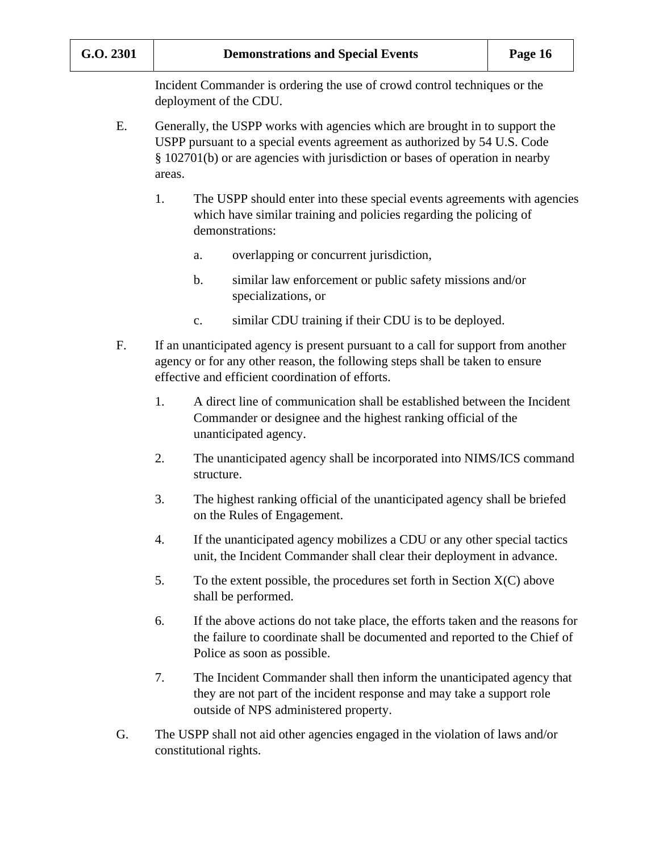Incident Commander is ordering the use of crowd control techniques or the deployment of the CDU.

- E. Generally, the USPP works with agencies which are brought in to support the USPP pursuant to a special events agreement as authorized by 54 U.S. Code § 102701(b) or are agencies with jurisdiction or bases of operation in nearby areas.
	- 1. The USPP should enter into these special events agreements with agencies which have similar training and policies regarding the policing of demonstrations:
		- a. overlapping or concurrent jurisdiction,
		- b. similar law enforcement or public safety missions and/or specializations, or
		- c. similar CDU training if their CDU is to be deployed.
- F. If an unanticipated agency is present pursuant to a call for support from another agency or for any other reason, the following steps shall be taken to ensure effective and efficient coordination of efforts.
	- 1. A direct line of communication shall be established between the Incident Commander or designee and the highest ranking official of the unanticipated agency.
	- 2. The unanticipated agency shall be incorporated into NIMS/ICS command structure.
	- 3. The highest ranking official of the unanticipated agency shall be briefed on the Rules of Engagement.
	- 4. If the unanticipated agency mobilizes a CDU or any other special tactics unit, the Incident Commander shall clear their deployment in advance.
	- 5. To the extent possible, the procedures set forth in Section  $X(C)$  above shall be performed.
	- 6. If the above actions do not take place, the efforts taken and the reasons for the failure to coordinate shall be documented and reported to the Chief of Police as soon as possible.
	- 7. The Incident Commander shall then inform the unanticipated agency that they are not part of the incident response and may take a support role outside of NPS administered property.
- G. The USPP shall not aid other agencies engaged in the violation of laws and/or constitutional rights.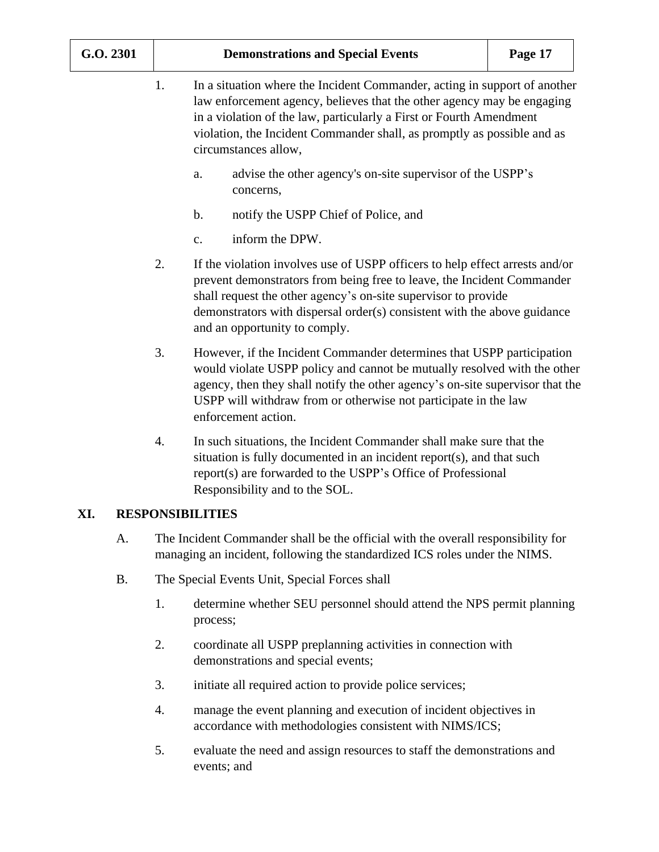| G.O. 2301 |           | <b>Demonstrations and Special Events</b><br>Page 17                                                                                                                                                                                                                                                                                 |                                                                                                                                                                                                                                                                                                                                       |  |  |  |  |
|-----------|-----------|-------------------------------------------------------------------------------------------------------------------------------------------------------------------------------------------------------------------------------------------------------------------------------------------------------------------------------------|---------------------------------------------------------------------------------------------------------------------------------------------------------------------------------------------------------------------------------------------------------------------------------------------------------------------------------------|--|--|--|--|
|           |           | 1.<br>In a situation where the Incident Commander, acting in support of another<br>law enforcement agency, believes that the other agency may be engaging<br>in a violation of the law, particularly a First or Fourth Amendment<br>violation, the Incident Commander shall, as promptly as possible and as<br>circumstances allow, |                                                                                                                                                                                                                                                                                                                                       |  |  |  |  |
|           |           |                                                                                                                                                                                                                                                                                                                                     | advise the other agency's on-site supervisor of the USPP's<br>a.<br>concerns,                                                                                                                                                                                                                                                         |  |  |  |  |
|           |           |                                                                                                                                                                                                                                                                                                                                     | notify the USPP Chief of Police, and<br>b.                                                                                                                                                                                                                                                                                            |  |  |  |  |
|           |           |                                                                                                                                                                                                                                                                                                                                     | inform the DPW.<br>c.                                                                                                                                                                                                                                                                                                                 |  |  |  |  |
|           |           | 2.                                                                                                                                                                                                                                                                                                                                  | If the violation involves use of USPP officers to help effect arrests and/or<br>prevent demonstrators from being free to leave, the Incident Commander<br>shall request the other agency's on-site supervisor to provide<br>demonstrators with dispersal order(s) consistent with the above guidance<br>and an opportunity to comply. |  |  |  |  |
|           |           | 3.                                                                                                                                                                                                                                                                                                                                  | However, if the Incident Commander determines that USPP participation<br>would violate USPP policy and cannot be mutually resolved with the other<br>agency, then they shall notify the other agency's on-site supervisor that the<br>USPP will withdraw from or otherwise not participate in the law<br>enforcement action.          |  |  |  |  |
|           |           | 4.                                                                                                                                                                                                                                                                                                                                  | In such situations, the Incident Commander shall make sure that the<br>situation is fully documented in an incident report(s), and that such<br>report(s) are forwarded to the USPP's Office of Professional<br>Responsibility and to the SOL.                                                                                        |  |  |  |  |
| XI.       |           |                                                                                                                                                                                                                                                                                                                                     | <b>RESPONSIBILITIES</b>                                                                                                                                                                                                                                                                                                               |  |  |  |  |
|           | А.        |                                                                                                                                                                                                                                                                                                                                     | The Incident Commander shall be the official with the overall responsibility for<br>managing an incident, following the standardized ICS roles under the NIMS.                                                                                                                                                                        |  |  |  |  |
|           | <b>B.</b> |                                                                                                                                                                                                                                                                                                                                     | The Special Events Unit, Special Forces shall                                                                                                                                                                                                                                                                                         |  |  |  |  |
|           |           | 1.                                                                                                                                                                                                                                                                                                                                  | determine whether SEU personnel should attend the NPS permit planning<br>process;                                                                                                                                                                                                                                                     |  |  |  |  |
|           |           | 2.                                                                                                                                                                                                                                                                                                                                  | coordinate all USPP preplanning activities in connection with<br>demonstrations and special events;                                                                                                                                                                                                                                   |  |  |  |  |
|           |           | 3.                                                                                                                                                                                                                                                                                                                                  | initiate all required action to provide police services;                                                                                                                                                                                                                                                                              |  |  |  |  |
|           |           | 4.                                                                                                                                                                                                                                                                                                                                  | manage the event planning and execution of incident objectives in<br>accordance with methodologies consistent with NIMS/ICS;                                                                                                                                                                                                          |  |  |  |  |
|           |           |                                                                                                                                                                                                                                                                                                                                     | evaluate the need and essign resources to staff the demonstrations and                                                                                                                                                                                                                                                                |  |  |  |  |

5. evaluate the need and assign resources to staff the demonstrations and events; and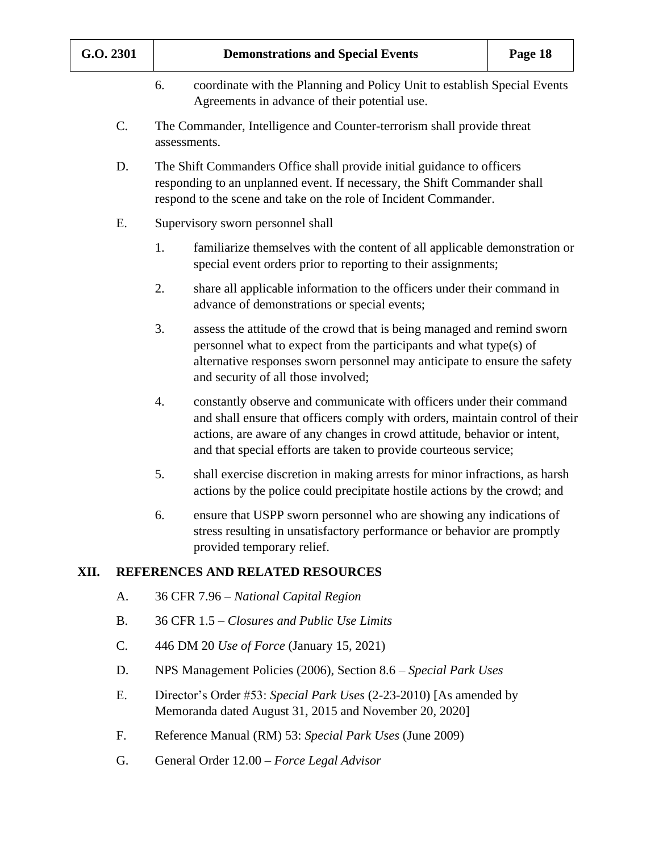|      | G.O. 2301 | <b>Demonstrations and Special Events</b><br>Page 18 |                                                                                                                                                                                                                                                                                                      |  |  |  |  |  |
|------|-----------|-----------------------------------------------------|------------------------------------------------------------------------------------------------------------------------------------------------------------------------------------------------------------------------------------------------------------------------------------------------------|--|--|--|--|--|
|      |           | 6.                                                  | coordinate with the Planning and Policy Unit to establish Special Events<br>Agreements in advance of their potential use.                                                                                                                                                                            |  |  |  |  |  |
|      | C.        |                                                     | The Commander, Intelligence and Counter-terrorism shall provide threat<br>assessments.                                                                                                                                                                                                               |  |  |  |  |  |
|      | D.        |                                                     | The Shift Commanders Office shall provide initial guidance to officers<br>responding to an unplanned event. If necessary, the Shift Commander shall<br>respond to the scene and take on the role of Incident Commander.                                                                              |  |  |  |  |  |
|      | Ε.        |                                                     | Supervisory sworn personnel shall                                                                                                                                                                                                                                                                    |  |  |  |  |  |
|      |           | 1.                                                  | familiarize themselves with the content of all applicable demonstration or<br>special event orders prior to reporting to their assignments;                                                                                                                                                          |  |  |  |  |  |
|      |           | 2.                                                  | share all applicable information to the officers under their command in<br>advance of demonstrations or special events;                                                                                                                                                                              |  |  |  |  |  |
|      |           | 3.                                                  | assess the attitude of the crowd that is being managed and remind sworn<br>personnel what to expect from the participants and what type(s) of<br>alternative responses sworn personnel may anticipate to ensure the safety<br>and security of all those involved;                                    |  |  |  |  |  |
|      |           | 4.                                                  | constantly observe and communicate with officers under their command<br>and shall ensure that officers comply with orders, maintain control of their<br>actions, are aware of any changes in crowd attitude, behavior or intent,<br>and that special efforts are taken to provide courteous service; |  |  |  |  |  |
|      |           | 5.                                                  | shall exercise discretion in making arrests for minor infractions, as harsh<br>actions by the police could precipitate hostile actions by the crowd; and                                                                                                                                             |  |  |  |  |  |
|      |           | 6.                                                  | ensure that USPP sworn personnel who are showing any indications of<br>stress resulting in unsatisfactory performance or behavior are promptly<br>provided temporary relief.                                                                                                                         |  |  |  |  |  |
| XII. |           |                                                     | REFERENCES AND RELATED RESOURCES                                                                                                                                                                                                                                                                     |  |  |  |  |  |
|      | A.        |                                                     | 36 CFR 7.96 – National Capital Region                                                                                                                                                                                                                                                                |  |  |  |  |  |
|      | <b>B.</b> |                                                     | 36 CFR 1.5 – Closures and Public Use Limits                                                                                                                                                                                                                                                          |  |  |  |  |  |
|      | $C$ .     | 446 DM 20 Use of Force (January 15, 2021)           |                                                                                                                                                                                                                                                                                                      |  |  |  |  |  |
|      | D.        |                                                     | NPS Management Policies (2006), Section 8.6 – Special Park Uses                                                                                                                                                                                                                                      |  |  |  |  |  |
|      | E.        |                                                     | Director's Order #53: Special Park Uses (2-23-2010) [As amended by<br>Memoranda dated August 31, 2015 and November 20, 2020]                                                                                                                                                                         |  |  |  |  |  |
|      | F.        |                                                     | Reference Manual (RM) 53: Special Park Uses (June 2009)                                                                                                                                                                                                                                              |  |  |  |  |  |

G. General Order 12.00 – *Force Legal Advisor*